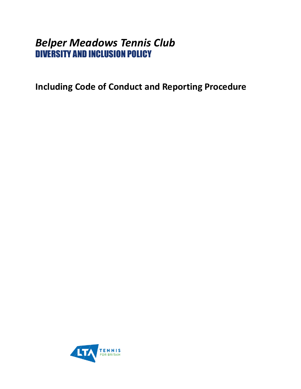# *Belper Meadows Tennis Club*  DIVERSITY AND INCLUSION POLICY

<span id="page-0-0"></span>**Including Code of Conduct and Reporting Procedure**

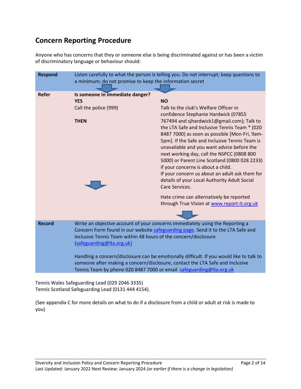# **Concern Reporting Procedure**

Anyone who has concerns that they or someone else is being discriminated against or has been a victim of discriminatory language or behaviour should:

| <b>Respond</b> | Listen carefully to what the person is telling you. Do not interrupt; keep questions to<br>a minimum; do not promise to keep the information secret                                                                                                               |                                                                                                                                                                                                                                                                                                                                                                                                                                                                                                       |
|----------------|-------------------------------------------------------------------------------------------------------------------------------------------------------------------------------------------------------------------------------------------------------------------|-------------------------------------------------------------------------------------------------------------------------------------------------------------------------------------------------------------------------------------------------------------------------------------------------------------------------------------------------------------------------------------------------------------------------------------------------------------------------------------------------------|
| <b>Refer</b>   | Is someone in immediate danger?<br><b>YES</b><br>Call the police (999)                                                                                                                                                                                            | <b>NO</b><br>Talk to the club's Welfare Officer in<br>confidence Stephanie Hardwick (07855                                                                                                                                                                                                                                                                                                                                                                                                            |
|                | <b>THEN</b>                                                                                                                                                                                                                                                       | 767494 and sjhardwick1@gmail.com); Talk to<br>the LTA Safe and Inclusive Tennis Team * (020<br>8487 7000) as soon as possible [Mon-Fri, 9am-<br>5pm]. If the Safe and Inclusive Tennis Team is<br>unavailable and you want advice before the<br>next working day, call the NSPCC (0808 800<br>5000) or Parent Line Scotland (0800 028 2233)<br>if your concerns is about a child.<br>If your concern us about an adult ask them for<br>details of your Local Authority Adult Social<br>Care Services. |
|                |                                                                                                                                                                                                                                                                   | Hate crime can alternatively be reported<br>through True Vision at www.report-it.org.uk                                                                                                                                                                                                                                                                                                                                                                                                               |
|                |                                                                                                                                                                                                                                                                   |                                                                                                                                                                                                                                                                                                                                                                                                                                                                                                       |
| <b>Record</b>  | Write an objective account of your concerns immediately using the Reporting a<br>Concern Form found in our website safeguarding page. Send it to the LTA Safe and<br>Inclusive Tennis Team within 48 hours of the concern/disclosure<br>(safeguarding@Ita.org.uk) |                                                                                                                                                                                                                                                                                                                                                                                                                                                                                                       |
|                | Handling a concern/disclosure can be emotionally difficult. If you would like to talk to<br>someone after making a concern/disclosure, contact the LTA Safe and Inclusive<br>Tennis Team by phone 020 8487 7000 or email safeguarding@Ita.org.uk                  |                                                                                                                                                                                                                                                                                                                                                                                                                                                                                                       |

Tennis Wales Safeguarding Lead (029 2046 3335) Tennis Scotland Safeguarding Lead (0131 444 4154).

(See appendix C for more details on what to do if a disclosure from a child or adult at risk is made to you)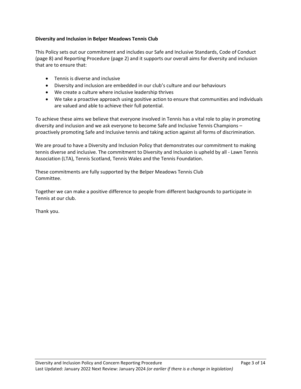#### **Diversity and Inclusion in Belper Meadows Tennis Club**

This Policy sets out our commitment and includes our Safe and Inclusive Standards, Code of Conduct (page 8) and Reporting Procedure (page 2) and it supports our overall aims for diversity and inclusion that are to ensure that:

- Tennis is diverse and inclusive
- Diversity and inclusion are embedded in our club's culture and our behaviours
- We create a culture where inclusive leadership thrives
- We take a proactive approach using positive action to ensure that communities and individuals are valued and able to achieve their full potential.

To achieve these aims we believe that everyone involved in Tennis has a vital role to play in promoting diversity and inclusion and we ask everyone to become Safe and Inclusive Tennis Champions – proactively promoting Safe and Inclusive tennis and taking action against all forms of discrimination.

We are proud to have a Diversity and Inclusion Policy that demonstrates our commitment to making tennis diverse and inclusive. The commitment to Diversity and Inclusion is upheld by all - Lawn Tennis Association (LTA), Tennis Scotland, Tennis Wales and the Tennis Foundation.

These commitments are fully supported by the Belper Meadows Tennis Club Committee.

Together we can make a positive difference to people from different backgrounds to participate in Tennis at our club.

Thank you.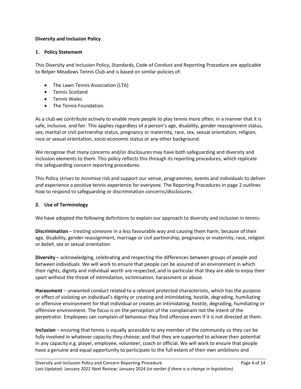#### **Diversity and Inclusion Policy**

#### **1. Policy Statement**

This Diversity and Inclusion Policy, Standards, Code of Conduct and Reporting Procedure are applicable to Belper Meadows Tennis Club and is based on similar policies of:

- The Lawn Tennis Association (LTA)
- Tennis Scotland
- Tennis Wales
- The Tennis Foundation.

As a club we contribute actively to enable more people to play tennis more often, in a manner that it is safe, inclusive, and fair. This applies regardless of a person's age, disability, gender reassignment status, sex, marital or civil partnership status, pregnancy or maternity, race, sex, sexual orientation, religion, race or sexual orientation, socio-economic status or any other background.

We recognise that many concerns and/or disclosures may have both safeguarding and diversity and inclusion elements to them. This policy reflects this through its reporting procedures, which replicate the safeguarding concern reporting procedures.

This Policy strives to minimise risk and support our venue, programmes, events and individuals to deliver and experience a positive tennis experience for everyone. The Reporting Procedures in page 2 outlines how to respond to safeguarding or discrimination concerns/disclosures.

#### **2. Use of Terminology**

We have adopted the following definitions to explain our approach to diversity and inclusion in tennis:

**Discrimination** – treating someone in a less favourable way and causing them harm, because of their age, disability, gender reassignment, marriage or civil partnership, pregnancy or maternity, race, religion or belief, sex or sexual orientation

**Diversity** – acknowledging, celebrating and respecting the differences between groups of people and between individuals. We will work to ensure that people can be assured of an environment in which their rights, dignity and individual worth are respected, and in particular that they are able to enjoy their sport without the threat of intimidation, victimisation, harassment or abuse.

**Harassment** – unwanted conduct related to a relevant protected characteristic, which has the purpose or effect of violating an individual's dignity or creating and intimidating, hostile, degrading, humiliating or offensive environment for that individual or creates an intimidating, hostile, degrading, humiliating or offensive environment. The focus is on the perception of the complainant not the intent of the perpetrator. Employees can complain of behaviour they find offensive even if it is not directed at them.

**Inclusion** – ensuring that tennis is equally accessible to any member of the community so they can be fully involved in whatever capacity they choose; and that they are supported to achieve their potential in any capacity e.g. player, employee, volunteer, coach or official. We will work to ensure that people have a genuine and equal opportunity to participate to the full extent of their own ambitions and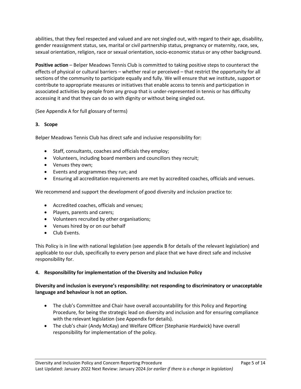abilities, that they feel respected and valued and are not singled out, with regard to their age, disability, gender reassignment status, sex, marital or civil partnership status, pregnancy or maternity, race, sex, sexual orientation, religion, race or sexual orientation, socio-economic status or any other background.

**Positive action** – Belper Meadows Tennis Club is committed to taking positive steps to counteract the effects of physical or cultural barriers – whether real or perceived – that restrict the opportunity for all sections of the community to participate equally and fully. We will ensure that we institute, support or contribute to appropriate measures or initiatives that enable access to tennis and participation in associated activities by people from any group that is under-represented in tennis or has difficulty accessing it and that they can do so with dignity or without being singled out.

(See Appendix A for full glossary of terms)

# **3. Scope**

Belper Meadows Tennis Club has direct safe and inclusive responsibility for:

- Staff, consultants, coaches and officials they employ;
- Volunteers, including board members and councillors they recruit;
- Venues they own;
- Events and programmes they run; and
- Ensuring all accreditation requirements are met by accredited coaches, officials and venues.

We recommend and support the development of good diversity and inclusion practice to:

- Accredited coaches, officials and venues;
- Players, parents and carers;
- Volunteers recruited by other organisations;
- Venues hired by or on our behalf
- Club Events.

This Policy is in line with national legislation (see appendix B for details of the relevant legislation) and applicable to our club, specifically to every person and place that we have direct safe and inclusive responsibility for.

### **4. Responsibility for implementation of the Diversity and Inclusion Policy**

### **Diversity and inclusion is everyone's responsibility: not responding to discriminatory or unacceptable language and behaviour is not an option.**

- The club's Committee and Chair have overall accountability for this Policy and Reporting Procedure, for being the strategic lead on diversity and inclusion and for ensuring compliance with the relevant legislation (see Appendix for details).
- The club's chair (Andy McKay) and Welfare Officer (Stephanie Hardwick) have overall responsibility for implementation of the policy.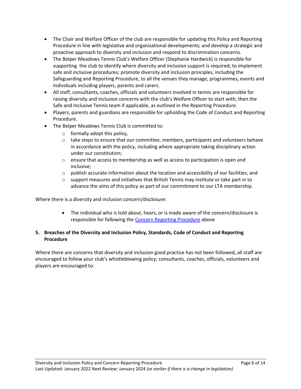- The Chair and Welfare Officer of the club are responsible for updating this Policy and Reporting Procedure in line with legislative and organisational developments; and develop a strategic and proactive approach to diversity and inclusion and respond to discrimination concerns.
- The Belper Meadows Tennis Club's Welfare Officer (Stephanie Hardwick) is responsible for supporting the club to identify where diversity and inclusion support is required; to implement safe and inclusive procedures; promote diversity and inclusion principles, including the Safeguarding and Reporting Procedure, to all the venues they manage, programmes, events and individuals including players, parents and carers.
- All staff, consultants, coaches, officials and volunteers involved in tennis are responsible for raising diversity and inclusion concerns with the club's Welfare Officer to start with; then the Safe and Inclusive Tennis team if applicable, as outlined in the Reporting Procedure.
- Players, parents and guardians are responsible for upholding the Code of Conduct and Reporting Procedure.
- The Belper Meadows Tennis Club is committed to:
	- $\circ$  formally adopt this policy,
	- $\circ$  take steps to ensure that our committee, members, participants and volunteers behave in accordance with the policy, including where appropriate taking disciplinary action under our constitution;
	- $\circ$  ensure that access to membership as well as access to participation is open and inclusive;
	- $\circ$  publish accurate information about the location and accessibility of our facilities; and
	- $\circ$  support measures and initiatives that British Tennis may institute or take part in to advance the aims of this policy as part of our commitment to our LTA membership.

Where there is a diversity and inclusion concern/disclosure:

• The individual who is told about, hears, or is made aware of the concern/disclosure is responsible for following the [Concern Reporting Procedure](#page-0-0) above

# **5. Breaches of the Diversity and Inclusion Policy, Standards, Code of Conduct and Reporting Procedure**

Where there are concerns that diversity and inclusion good practice has not been followed, all staff are encouraged to follow your club's whistleblowing policy; consultants, coaches, officials, volunteers and players are encouraged to: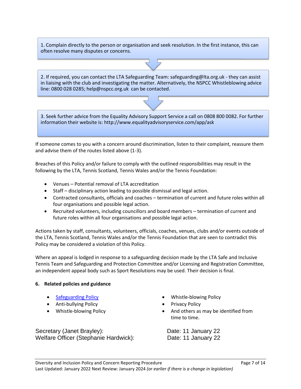1. Complain directly to the person or organisation and seek resolution. In the first instance, this can often resolve many disputes or concerns.

2. If required, you can contact the LTA Safeguarding Team: safeguarding@lta.org.uk - they can assist in liaising with the club and investigating the matter. Alternatively, the NSPCC Whistleblowing advice line: 0800 028 0285; help@nspcc.org.uk can be contacted.

3. Seek further advice from the Equality Advisory Support Service a call on 0808 800 0082. For further information their website is: http://www.equalityadvisoryservice.com/app/ask

If someone comes to you with a concern around discrimination, listen to their complaint, reassure them and advise them of the routes listed above (1-3).

Breaches of this Policy and/or failure to comply with the outlined responsibilities may result in the following by the LTA, Tennis Scotland, Tennis Wales and/or the Tennis Foundation:

- Venues Potential removal of LTA accreditation
- Staff disciplinary action leading to possible dismissal and legal action.
- Contracted consultants, officials and coaches termination of current and future roles within all four organisations and possible legal action.
- Recruited volunteers, including councillors and board members termination of current and future roles within all four organisations and possible legal action.

Actions taken by staff, consultants, volunteers, officials, coaches, venues, clubs and/or events outside of the LTA, Tennis Scotland, Tennis Wales and/or the Tennis Foundation that are seen to contradict this Policy may be considered a violation of this Policy.

Where an appeal is lodged in response to a safeguarding decision made by the LTA Safe and Inclusive Tennis Team and Safeguarding and Protection Committee and/or Licensing and Registration Committee, an independent appeal body such as Sport Resolutions may be used. Their decision is final.

#### **6. Related policies and guidance**

- 
- Anti-bullying Policy  **Privacy Policy**
- 

Secretary (Janet Brayley): Date: 11 January 22 Welfare Officer (Stephanie Hardwick): Date: 11 January 22

- [Safeguarding Policy](https://www.lta.org.uk/globalassets/about-lta/safeguarding/british-tennis-safeguarding-policy.pdf)  **Safeguarding Policy** Whistle-blowing Policy
	-
- Whistle-blowing Policy  **And others as may be identified from** time to time.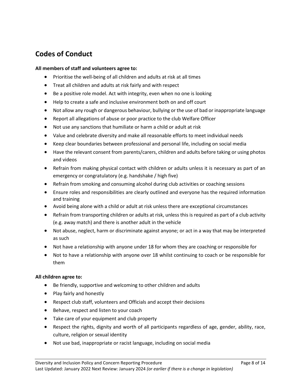# **Codes of Conduct**

#### **All members of staff and volunteers agree to:**

- Prioritise the well-being of all children and adults at risk at all times
- Treat all children and adults at risk fairly and with respect
- Be a positive role model. Act with integrity, even when no one is looking
- Help to create a safe and inclusive environment both on and off court
- Not allow any rough or dangerous behaviour, bullying or the use of bad or inappropriate language
- Report all allegations of abuse or poor practice to the club Welfare Officer
- Not use any sanctions that humiliate or harm a child or adult at risk
- Value and celebrate diversity and make all reasonable efforts to meet individual needs
- Keep clear boundaries between professional and personal life, including on social media
- Have the relevant consent from parents/carers, children and adults before taking or using photos and videos
- Refrain from making physical contact with children or adults unless it is necessary as part of an emergency or congratulatory (e.g. handshake / high five)
- Refrain from smoking and consuming alcohol during club activities or coaching sessions
- Ensure roles and responsibilities are clearly outlined and everyone has the required information and training
- Avoid being alone with a child or adult at risk unless there are exceptional circumstances
- Refrain from transporting children or adults at risk, unless this is required as part of a club activity (e.g. away match) and there is another adult in the vehicle
- Not abuse, neglect, harm or discriminate against anyone; or act in a way that may be interpreted as such
- Not have a relationship with anyone under 18 for whom they are coaching or responsible for
- Not to have a relationship with anyone over 18 whilst continuing to coach or be responsible for them

#### **All children agree to:**

- Be friendly, supportive and welcoming to other children and adults
- Play fairly and honestly
- Respect club staff, volunteers and Officials and accept their decisions
- Behave, respect and listen to your coach
- Take care of your equipment and club property
- Respect the rights, dignity and worth of all participants regardless of age, gender, ability, race, culture, religion or sexual identity
- Not use bad, inappropriate or racist language, including on social media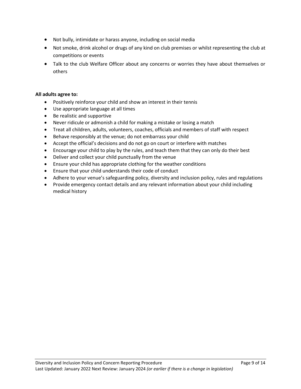- Not bully, intimidate or harass anyone, including on social media
- Not smoke, drink alcohol or drugs of any kind on club premises or whilst representing the club at competitions or events
- Talk to the club Welfare Officer about any concerns or worries they have about themselves or others

#### **All adults agree to:**

- Positively reinforce your child and show an interest in their tennis
- Use appropriate language at all times
- Be realistic and supportive
- Never ridicule or admonish a child for making a mistake or losing a match
- Treat all children, adults, volunteers, coaches, officials and members of staff with respect
- Behave responsibly at the venue; do not embarrass your child
- Accept the official's decisions and do not go on court or interfere with matches
- Encourage your child to play by the rules, and teach them that they can only do their best
- Deliver and collect your child punctually from the venue
- Ensure your child has appropriate clothing for the weather conditions
- Ensure that your child understands their code of conduct
- Adhere to your venue's safeguarding policy, diversity and inclusion policy, rules and regulations
- Provide emergency contact details and any relevant information about your child including medical history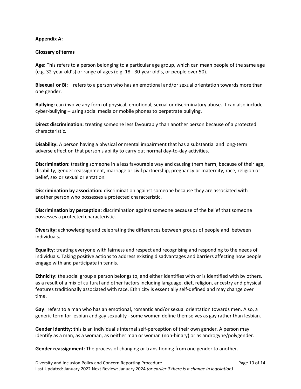#### **Appendix A:**

#### **Glossary of terms**

**Age:** This refers to a person belonging to a particular age group, which can mean people of the same age (e.g. 32-year old's) or range of ages (e.g. 18 - 30-year old's, or people over 50).

**Bisexual or Bi:** – refers to a person who has an emotional and/or sexual orientation towards more than one gender.

**Bullying:** can involve any form of physical, emotional, sexual or discriminatory abuse. It can also include cyber-bullying – using social media or mobile phones to perpetrate bullying.

**Direct discrimination:** treating someone less favourably than another person because of a protected characteristic.

**Disability:** A person having a physical or mental impairment that has a substantial and long-term adverse effect on that person's ability to carry out normal day-to-day activities.

**Discrimination:** treating someone in a less favourable way and causing them harm, because of their age, disability, gender reassignment, marriage or civil partnership, pregnancy or maternity, race, religion or belief, sex or sexual orientation.

**Discrimination by association:** discrimination against someone because they are associated with another person who possesses a protected characteristic.

**Discrimination by perception:** discrimination against someone because of the belief that someone possesses a protected characteristic.

**Diversity:** acknowledging and celebrating the differences between groups of people and between individuals**.**

**Equality**: treating everyone with fairness and respect and recognising and responding to the needs of individuals. Taking positive actions to address existing disadvantages and barriers affecting how people engage with and participate in tennis.

**Ethnicity**: the social group a person belongs to, and either identifies with or is identified with by others, as a result of a mix of cultural and other factors including language, diet, religion, ancestry and physical features traditionally associated with race. Ethnicity is essentially self-defined and may change over time.

**Gay**: refers to a man who has an emotional, romantic and/or sexual orientation towards men. Also, a generic term for lesbian and gay sexuality - some women define themselves as gay rather than lesbian.

**Gender identity: t**his is an individual's internal self-perception of their own gender. A person may identify as a man, as a woman, as neither man or woman (non-binary) or as androgyne/polygender.

**Gender reassignment**: The process of changing or transitioning from one gender to another.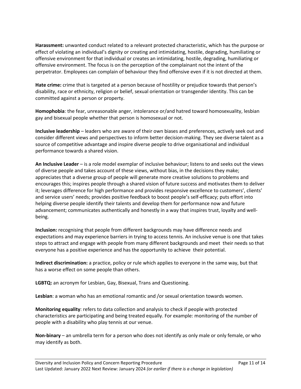**Harassment:** unwanted conduct related to a relevant protected characteristic, which has the purpose or effect of violating an individual's dignity or creating and intimidating, hostile, degrading, humiliating or offensive environment for that individual or creates an intimidating, hostile, degrading, humiliating or offensive environment. The focus is on the perception of the complainant not the intent of the perpetrator. Employees can complain of behaviour they find offensive even if it is not directed at them.

**Hate crime:** crime that is targeted at a person because of hostility or prejudice towards that person's disability, race or ethnicity, religion or belief, sexual orientation or transgender identity. This can be committed against a person or property.

**Homophobia**: the fear, unreasonable anger, intolerance or/and hatred toward homosexuality, lesbian gay and bisexual people whether that person is homosexual or not.

**Inclusive leadership** – leaders who are aware of their own biases and preferences, actively seek out and consider different views and perspectives to inform better decision-making. They see diverse talent as a source of competitive advantage and inspire diverse people to drive organisational and individual performance towards a shared vision.

**An Inclusive Leader** – is a role model exemplar of inclusive behaviour; listens to and seeks out the views of diverse people and takes account of these views, without bias, in the decisions they make; appreciates that a diverse group of people will generate more creative solutions to problems and encourages this; inspires people through a shared vision of future success and motivates them to deliver it; leverages difference for high performance and provides responsive excellence to customers', clients' and service users' needs; provides positive feedback to boost people's self-efficacy; puts effort into helping diverse people identify their talents and develop them for performance now and future advancement; communicates authentically and honestly in a way that inspires trust, loyalty and wellbeing.

**Inclusion:** recognising that people from different backgrounds may have difference needs and expectations and may experience barriers in trying to access tennis. An inclusive venue is one that takes steps to attract and engage with people from many different backgrounds and meet their needs so that everyone has a positive experience and has the opportunity to achieve their potential.

**Indirect discrimination:** a practice, policy or rule which applies to everyone in the same way, but that has a worse effect on some people than others.

**LGBTQ:** an acronym for Lesbian, Gay, Bisexual, Trans and Questioning.

**Lesbian**: a woman who has an emotional romantic and /or sexual orientation towards women.

**Monitoring equality**: refers to data collection and analysis to check if people with protected characteristics are participating and being treated equally. For example: monitoring of the number of people with a disability who play tennis at our venue.

**Non-binary** – an umbrella term for a person who does not identify as only male or only female, or who may identify as both.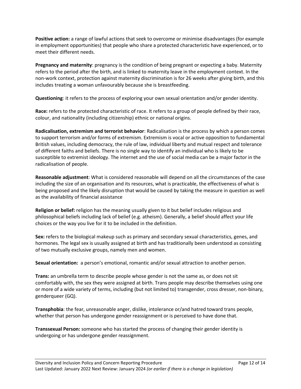**Positive action:** a range of lawful actions that seek to overcome or minimise disadvantages (for example in employment opportunities) that people who share a protected characteristic have experienced, or to meet their different needs.

**Pregnancy and maternity**: pregnancy is the condition of being pregnant or expecting a baby. Maternity refers to the period after the birth, and is linked to maternity leave in the employment context. In the non-work context, protection against maternity discrimination is for 26 weeks after giving birth, and this includes treating a woman unfavourably because she is breastfeeding.

**Questioning**: it refers to the process of exploring your own sexual orientation and/or gender identity.

**Race:** refers to the protected characteristic of race. It refers to a group of people defined by their race, colour, and nationality (including citizenship) ethnic or national origins.

**Radicalisation, extremism and terrorist behavior**: Radicalisation is the process by which a person comes to support terrorism and/or forms of extremism. Extremism is vocal or active opposition to fundamental British values, including democracy, the rule of law, individual liberty and mutual respect and tolerance of different faiths and beliefs. There is no single way to identify an individual who is likely to be susceptible to extremist ideology. The internet and the use of social media can be a major factor in the radicalisation of people.

**Reasonable adjustment**: What is considered reasonable will depend on all the circumstances of the case including the size of an organisation and its resources, what is practicable, the effectiveness of what is being proposed and the likely disruption that would be caused by taking the measure in question as well as the availability of financial assistance

**Religion or belief:** religion has the meaning usually given to it but belief includes religious and philosophical beliefs including lack of belief (e.g. atheism). Generally, a belief should affect your life choices or the way you live for it to be included in the definition.

**Sex:** refers to the biological makeup such as primary and secondary sexual characteristics, genes, and hormones. The legal sex is usually assigned at birth and has traditionally been understood as consisting of two mutually exclusive groups, namely men and women.

**Sexual orientation:** a person's emotional, romantic and/or sexual attraction to another person.

**Trans:** an umbrella term to describe people whose gender is not the same as, or does not sit comfortably with, the sex they were assigned at birth. Trans people may describe themselves using one or more of a wide variety of terms, including (but not limited to) transgender, cross dresser, non-binary, genderqueer (GQ).

**Transphobia**: the fear, unreasonable anger, dislike, intolerance or/and hatred toward trans people, whether that person has undergone gender reassignment or is perceived to have done that.

**Transsexual Person:** someone who has started the process of changing their gender identity is undergoing or has undergone gender reassignment.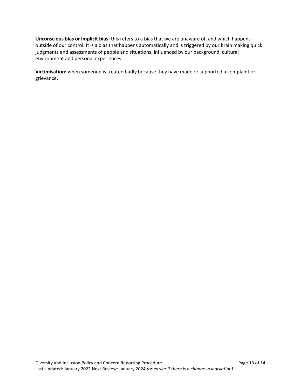**Unconscious bias or implicit bias:** this refers to a bias that we are unaware of, and which happens outside of our control. It is a bias that happens automatically and is triggered by our brain making quick judgments and assessments of people and situations, influenced by our background, cultural environment and personal experiences.

**Victimisation:** when someone is treated badly because they have made or supported a complaint or grievance.